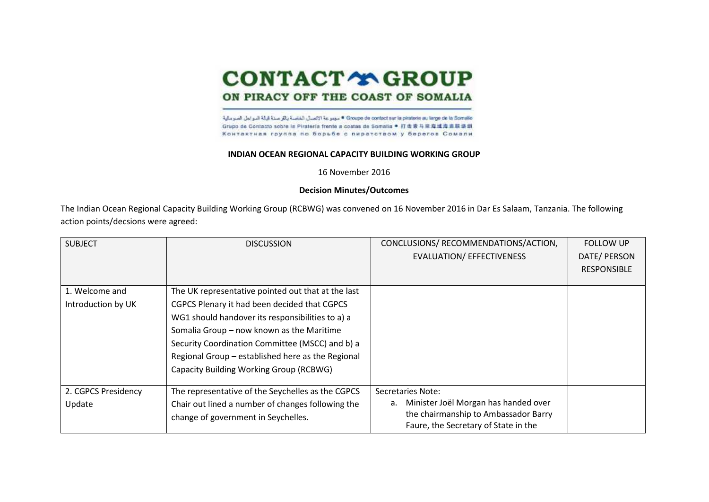## **CONTACT Y GROUP**

## ON PIRACY OFF THE COAST OF SOMALIA

Groupe de contact sur la piratorie au large de la Somalio " مجموعة الاتصتل الخاصة باللو صنة قبالة النبواجل الصوملية Grupo de Contacto sobre la Piraterla frente a costas de Somalia ● 打击索马里连通道直联语册 Контактная группа по борьбе с пиратством у берегов Сомали

## **INDIAN OCEAN REGIONAL CAPACITY BUILDING WORKING GROUP**

16 November 2016

## **Decision Minutes/Outcomes**

The Indian Ocean Regional Capacity Building Working Group (RCBWG) was convened on 16 November 2016 in Dar Es Salaam, Tanzania. The following action points/decsions were agreed:

| <b>SUBJECT</b>                       | <b>DISCUSSION</b>                                                                                                                                                                                                                                                                                                                                      | CONCLUSIONS/ RECOMMENDATIONS/ACTION,<br><b>EVALUATION/ EFFECTIVENESS</b>                                                                        | <b>FOLLOW UP</b><br>DATE/ PERSON<br><b>RESPONSIBLE</b> |
|--------------------------------------|--------------------------------------------------------------------------------------------------------------------------------------------------------------------------------------------------------------------------------------------------------------------------------------------------------------------------------------------------------|-------------------------------------------------------------------------------------------------------------------------------------------------|--------------------------------------------------------|
| 1. Welcome and<br>Introduction by UK | The UK representative pointed out that at the last<br>CGPCS Plenary it had been decided that CGPCS<br>WG1 should handover its responsibilities to a) a<br>Somalia Group - now known as the Maritime<br>Security Coordination Committee (MSCC) and b) a<br>Regional Group - established here as the Regional<br>Capacity Building Working Group (RCBWG) |                                                                                                                                                 |                                                        |
| 2. CGPCS Presidency<br>Update        | The representative of the Seychelles as the CGPCS<br>Chair out lined a number of changes following the<br>change of government in Seychelles.                                                                                                                                                                                                          | Secretaries Note:<br>Minister Joël Morgan has handed over<br>а.<br>the chairmanship to Ambassador Barry<br>Faure, the Secretary of State in the |                                                        |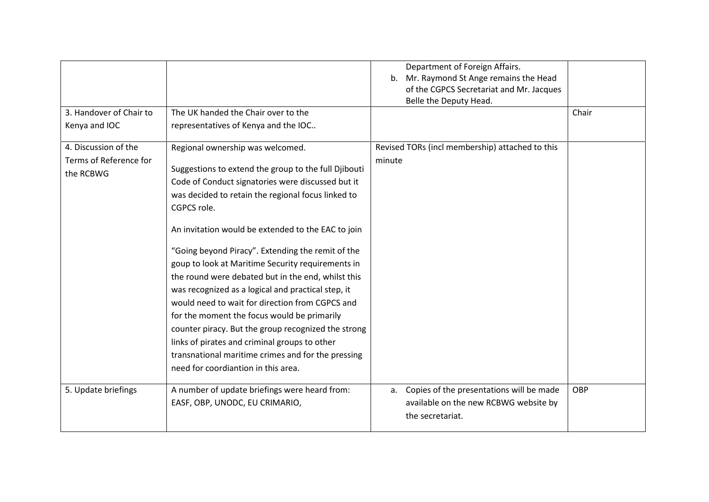| 3. Handover of Chair to                                     | The UK handed the Chair over to the                                                                                                                                                                                                                                                                                                                                                                                                                                                                                                                                                                                                                                                                                                                                                                   | Department of Foreign Affairs.<br>b. Mr. Raymond St Ange remains the Head<br>of the CGPCS Secretariat and Mr. Jacques<br>Belle the Deputy Head. | Chair |
|-------------------------------------------------------------|-------------------------------------------------------------------------------------------------------------------------------------------------------------------------------------------------------------------------------------------------------------------------------------------------------------------------------------------------------------------------------------------------------------------------------------------------------------------------------------------------------------------------------------------------------------------------------------------------------------------------------------------------------------------------------------------------------------------------------------------------------------------------------------------------------|-------------------------------------------------------------------------------------------------------------------------------------------------|-------|
| Kenya and IOC                                               | representatives of Kenya and the IOC                                                                                                                                                                                                                                                                                                                                                                                                                                                                                                                                                                                                                                                                                                                                                                  |                                                                                                                                                 |       |
| 4. Discussion of the<br>Terms of Reference for<br>the RCBWG | Regional ownership was welcomed.<br>Suggestions to extend the group to the full Djibouti<br>Code of Conduct signatories were discussed but it<br>was decided to retain the regional focus linked to<br>CGPCS role.<br>An invitation would be extended to the EAC to join<br>"Going beyond Piracy". Extending the remit of the<br>goup to look at Maritime Security requirements in<br>the round were debated but in the end, whilst this<br>was recognized as a logical and practical step, it<br>would need to wait for direction from CGPCS and<br>for the moment the focus would be primarily<br>counter piracy. But the group recognized the strong<br>links of pirates and criminal groups to other<br>transnational maritime crimes and for the pressing<br>need for coordiantion in this area. | Revised TORs (incl membership) attached to this<br>minute                                                                                       |       |
| 5. Update briefings                                         | A number of update briefings were heard from:<br>EASF, OBP, UNODC, EU CRIMARIO,                                                                                                                                                                                                                                                                                                                                                                                                                                                                                                                                                                                                                                                                                                                       | Copies of the presentations will be made<br>а.<br>available on the new RCBWG website by<br>the secretariat.                                     | OBP   |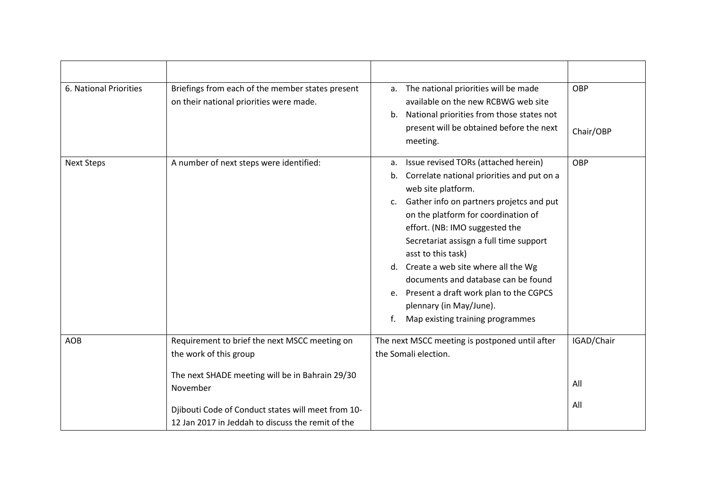| 6. National Priorities | Briefings from each of the member states present<br>on their national priorities were made.                                                                                                                                                       | a. The national priorities will be made<br>available on the new RCBWG web site<br>National priorities from those states not<br>b.<br>present will be obtained before the next<br>meeting.                                                                                                                                                                                                                                                                                                                       | OBP<br>Chair/OBP         |
|------------------------|---------------------------------------------------------------------------------------------------------------------------------------------------------------------------------------------------------------------------------------------------|-----------------------------------------------------------------------------------------------------------------------------------------------------------------------------------------------------------------------------------------------------------------------------------------------------------------------------------------------------------------------------------------------------------------------------------------------------------------------------------------------------------------|--------------------------|
| <b>Next Steps</b>      | A number of next steps were identified:                                                                                                                                                                                                           | Issue revised TORs (attached herein)<br>a.<br>Correlate national priorities and put on a<br>b.<br>web site platform.<br>c. Gather info on partners projetcs and put<br>on the platform for coordination of<br>effort. (NB: IMO suggested the<br>Secretariat assisgn a full time support<br>asst to this task)<br>d. Create a web site where all the Wg<br>documents and database can be found<br>e. Present a draft work plan to the CGPCS<br>plennary (in May/June).<br>Map existing training programmes<br>f. | OBP                      |
| <b>AOB</b>             | Requirement to brief the next MSCC meeting on<br>the work of this group<br>The next SHADE meeting will be in Bahrain 29/30<br>November<br>Djibouti Code of Conduct states will meet from 10-<br>12 Jan 2017 in Jeddah to discuss the remit of the | The next MSCC meeting is postponed until after<br>the Somali election.                                                                                                                                                                                                                                                                                                                                                                                                                                          | IGAD/Chair<br>All<br>All |